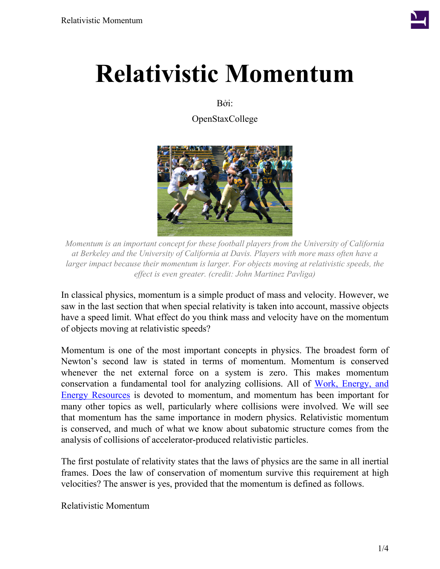

## **Relativistic Momentum**

Bởi:

OpenStaxCollege



*Momentum is an important concept for these football players from the University of California at Berkeley and the University of California at Davis. Players with more mass often have a larger impact because their momentum is larger. For objects moving at relativistic speeds, the effect is even greater. (credit: John Martinez Pavliga)*

In classical physics, momentum is a simple product of mass and velocity. However, we saw in the last section that when special relativity is taken into account, massive objects have a speed limit. What effect do you think mass and velocity have on the momentum of objects moving at relativistic speeds?

Momentum is one of the most important concepts in physics. The broadest form of Newton's second law is stated in terms of momentum. Momentum is conserved whenever the net external force on a system is zero. This makes momentum conservation a fundamental tool for analyzing collisions. All of Work, [Energy,](/m42145) and Energy [Resources](/m42145) is devoted to momentum, and momentum has been important for many other topics as well, particularly where collisions were involved. We will see that momentum has the same importance in modern physics. Relativistic momentum is conserved, and much of what we know about subatomic structure comes from the analysis of collisions of accelerator-produced relativistic particles.

The first postulate of relativity states that the laws of physics are the same in all inertial frames. Does the law of conservation of momentum survive this requirement at high velocities? The answer is yes, provided that the momentum is defined as follows.

Relativistic Momentum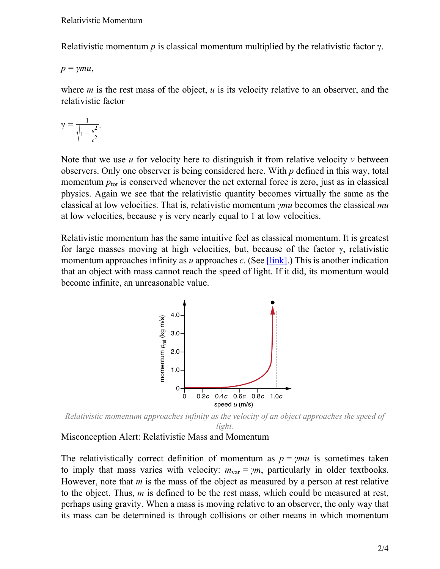Relativistic momentum *p* is classical momentum multiplied by the relativistic factor γ.

*p* = *γmu*,

where *m* is the rest mass of the object, *u* is its velocity relative to an observer, and the relativistic factor

$$
\gamma=\frac{1}{\sqrt{1-\frac{u^2}{c^2}}}.
$$

Note that we use *u* for velocity here to distinguish it from relative velocity *v* between observers. Only one observer is being considered here. With *p* defined in this way, total momentum  $p_{\text{tot}}$  is conserved whenever the net external force is zero, just as in classical physics. Again we see that the relativistic quantity becomes virtually the same as the classical at low velocities. That is, relativistic momentum *γmu* becomes the classical *mu* at low velocities, because  $\gamma$  is very nearly equal to 1 at low velocities.

<span id="page-1-0"></span>Relativistic momentum has the same intuitive feel as classical momentum. It is greatest for large masses moving at high velocities, but, because of the factor  $\gamma$ , relativistic momentum approaches infinity as  $u$  approaches  $c$ . (See  $\underline{Link}$ .) This is another indication that an object with mass cannot reach the speed of light. If it did, its momentum would become infinite, an unreasonable value.



*Relativistic momentum approaches infinity as the velocity of an object approaches the speed of light.*

Misconception Alert: Relativistic Mass and Momentum

The relativistically correct definition of momentum as  $p = \gamma m u$  is sometimes taken to imply that mass varies with velocity:  $m_{\text{var}} = \gamma m$ , particularly in older textbooks. However, note that *m* is the mass of the object as measured by a person at rest relative to the object. Thus, *m* is defined to be the rest mass, which could be measured at rest, perhaps using gravity. When a mass is moving relative to an observer, the only way that its mass can be determined is through collisions or other means in which momentum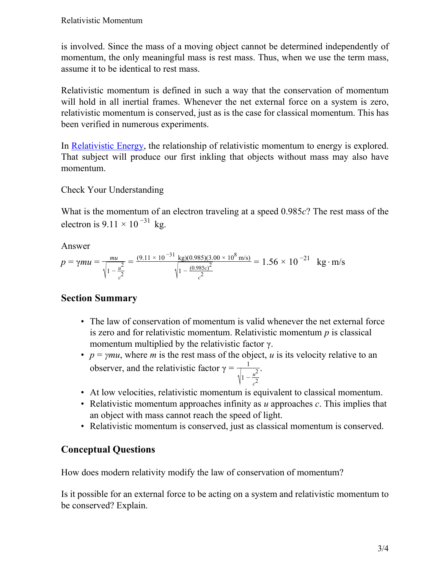is involved. Since the mass of a moving object cannot be determined independently of momentum, the only meaningful mass is rest mass. Thus, when we use the term mass, assume it to be identical to rest mass.

Relativistic momentum is defined in such a way that the conservation of momentum will hold in all inertial frames. Whenever the net external force on a system is zero, relativistic momentum is conserved, just as is the case for classical momentum. This has been verified in numerous experiments.

In [Relativistic](/m42546) Energy, the relationship of relativistic momentum to energy is explored. That subject will produce our first inkling that objects without mass may also have momentum.

Check Your Understanding

What is the momentum of an electron traveling at a speed 0.985*c*? The rest mass of the electron is  $9.11 \times 10^{-31}$  kg.

Answer

$$
p = \gamma m u = \frac{m u}{\sqrt{1 - \frac{u^2}{c^2}}} = \frac{(9.11 \times 10^{-31} \text{ kg})(0.985)(3.00 \times 10^8 \text{ m/s})}{\sqrt{1 - \frac{(0.985c)^2}{c^2}}} = 1.56 \times 10^{-21} \text{ kg} \cdot \text{m/s}
$$

## **Section Summary**

- The law of conservation of momentum is valid whenever the net external force is zero and for relativistic momentum. Relativistic momentum *p* is classical momentum multiplied by the relativistic factor γ.
- $p = \gamma m u$ , where *m* is the rest mass of the object, *u* is its velocity relative to an observer, and the relativistic factor  $\gamma = \frac{1}{\sqrt{2\pi}}$  $\sqrt{1-\frac{u^2}{c^2}}$ *c* 2 .
- At low velocities, relativistic momentum is equivalent to classical momentum.
- Relativistic momentum approaches infinity as *u* approaches *c*. This implies that an object with mass cannot reach the speed of light.
- Relativistic momentum is conserved, just as classical momentum is conserved.

## **Conceptual Questions**

How does modern relativity modify the law of conservation of momentum?

Is it possible for an external force to be acting on a system and relativistic momentum to be conserved? Explain.